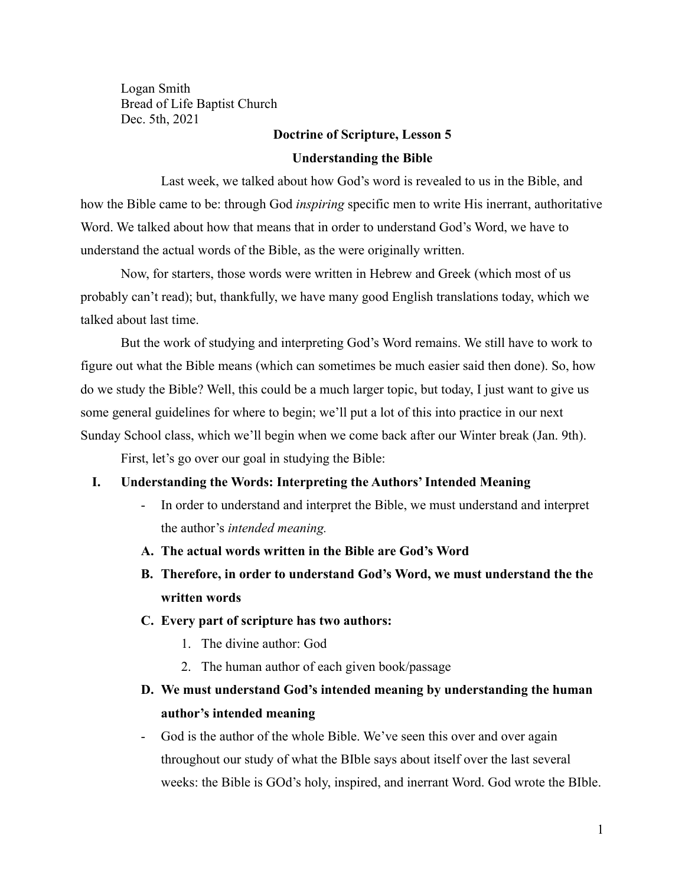Logan Smith Bread of Life Baptist Church Dec. 5th, 2021

### **Doctrine of Scripture, Lesson 5**

#### **Understanding the Bible**

Last week, we talked about how God's word is revealed to us in the Bible, and how the Bible came to be: through God *inspiring* specific men to write His inerrant, authoritative Word. We talked about how that means that in order to understand God's Word, we have to understand the actual words of the Bible, as the were originally written.

Now, for starters, those words were written in Hebrew and Greek (which most of us probably can't read); but, thankfully, we have many good English translations today, which we talked about last time.

But the work of studying and interpreting God's Word remains. We still have to work to figure out what the Bible means (which can sometimes be much easier said then done). So, how do we study the Bible? Well, this could be a much larger topic, but today, I just want to give us some general guidelines for where to begin; we'll put a lot of this into practice in our next Sunday School class, which we'll begin when we come back after our Winter break (Jan. 9th).

First, let's go over our goal in studying the Bible:

### **I. Understanding the Words: Interpreting the Authors' Intended Meaning**

- In order to understand and interpret the Bible, we must understand and interpret the author's *intended meaning.*
- **A. The actual words written in the Bible are God's Word**
- **B. Therefore, in order to understand God's Word, we must understand the the written words**

### **C. Every part of scripture has two authors:**

- 1. The divine author: God
- 2. The human author of each given book/passage

# **D. We must understand God's intended meaning by understanding the human author's intended meaning**

- God is the author of the whole Bible. We've seen this over and over again throughout our study of what the BIble says about itself over the last several weeks: the Bible is GOd's holy, inspired, and inerrant Word. God wrote the BIble.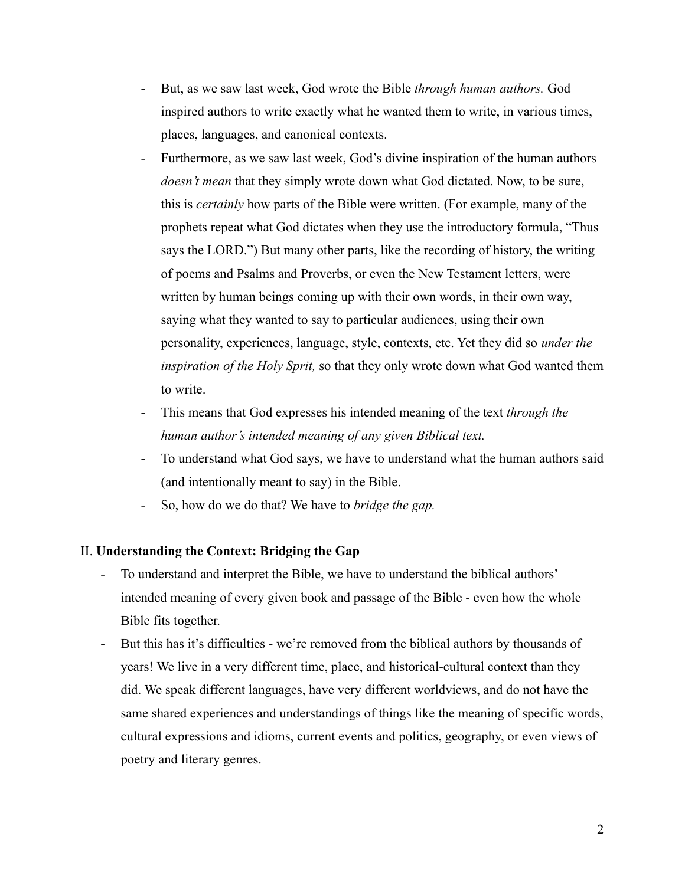- But, as we saw last week, God wrote the Bible *through human authors.* God inspired authors to write exactly what he wanted them to write, in various times, places, languages, and canonical contexts.
- Furthermore, as we saw last week, God's divine inspiration of the human authors *doesn't mean* that they simply wrote down what God dictated. Now, to be sure, this is *certainly* how parts of the Bible were written. (For example, many of the prophets repeat what God dictates when they use the introductory formula, "Thus says the LORD.") But many other parts, like the recording of history, the writing of poems and Psalms and Proverbs, or even the New Testament letters, were written by human beings coming up with their own words, in their own way, saying what they wanted to say to particular audiences, using their own personality, experiences, language, style, contexts, etc. Yet they did so *under the inspiration of the Holy Sprit,* so that they only wrote down what God wanted them to write.
- This means that God expresses his intended meaning of the text *through the human author's intended meaning of any given Biblical text.*
- To understand what God says, we have to understand what the human authors said (and intentionally meant to say) in the Bible.
- So, how do we do that? We have to *bridge the gap.*

### II. **Understanding the Context: Bridging the Gap**

- To understand and interpret the Bible, we have to understand the biblical authors' intended meaning of every given book and passage of the Bible - even how the whole Bible fits together.
- But this has it's difficulties we're removed from the biblical authors by thousands of years! We live in a very different time, place, and historical-cultural context than they did. We speak different languages, have very different worldviews, and do not have the same shared experiences and understandings of things like the meaning of specific words, cultural expressions and idioms, current events and politics, geography, or even views of poetry and literary genres.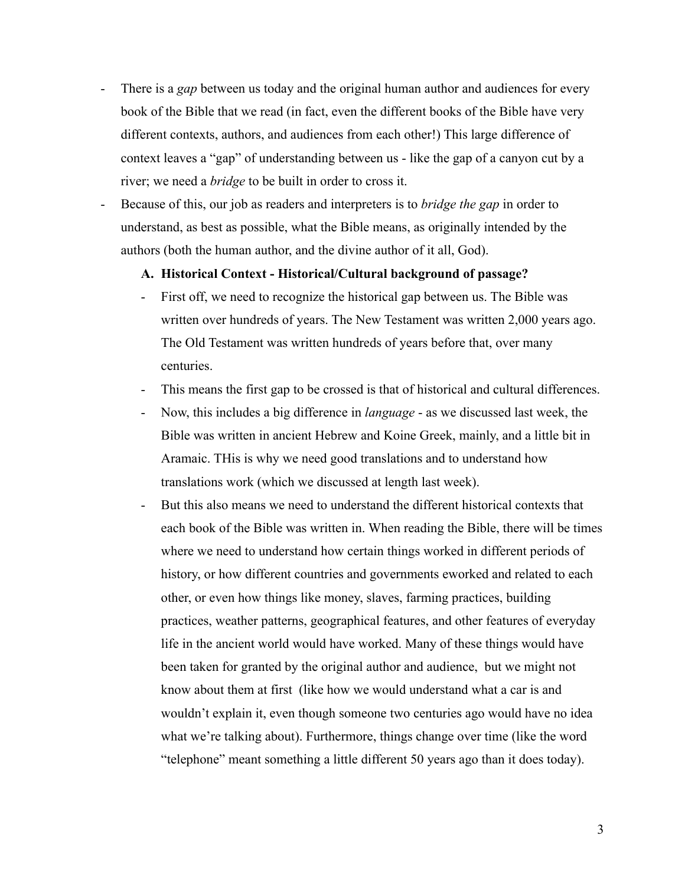- There is a *gap* between us today and the original human author and audiences for every book of the Bible that we read (in fact, even the different books of the Bible have very different contexts, authors, and audiences from each other!) This large difference of context leaves a "gap" of understanding between us - like the gap of a canyon cut by a river; we need a *bridge* to be built in order to cross it.
- Because of this, our job as readers and interpreters is to *bridge the gap* in order to understand, as best as possible, what the Bible means, as originally intended by the authors (both the human author, and the divine author of it all, God).

### **A. Historical Context - Historical/Cultural background of passage?**

- First off, we need to recognize the historical gap between us. The Bible was written over hundreds of years. The New Testament was written 2,000 years ago. The Old Testament was written hundreds of years before that, over many centuries.
- This means the first gap to be crossed is that of historical and cultural differences.
- Now, this includes a big difference in *language* as we discussed last week, the Bible was written in ancient Hebrew and Koine Greek, mainly, and a little bit in Aramaic. THis is why we need good translations and to understand how translations work (which we discussed at length last week).
- But this also means we need to understand the different historical contexts that each book of the Bible was written in. When reading the Bible, there will be times where we need to understand how certain things worked in different periods of history, or how different countries and governments eworked and related to each other, or even how things like money, slaves, farming practices, building practices, weather patterns, geographical features, and other features of everyday life in the ancient world would have worked. Many of these things would have been taken for granted by the original author and audience, but we might not know about them at first (like how we would understand what a car is and wouldn't explain it, even though someone two centuries ago would have no idea what we're talking about). Furthermore, things change over time (like the word "telephone" meant something a little different 50 years ago than it does today).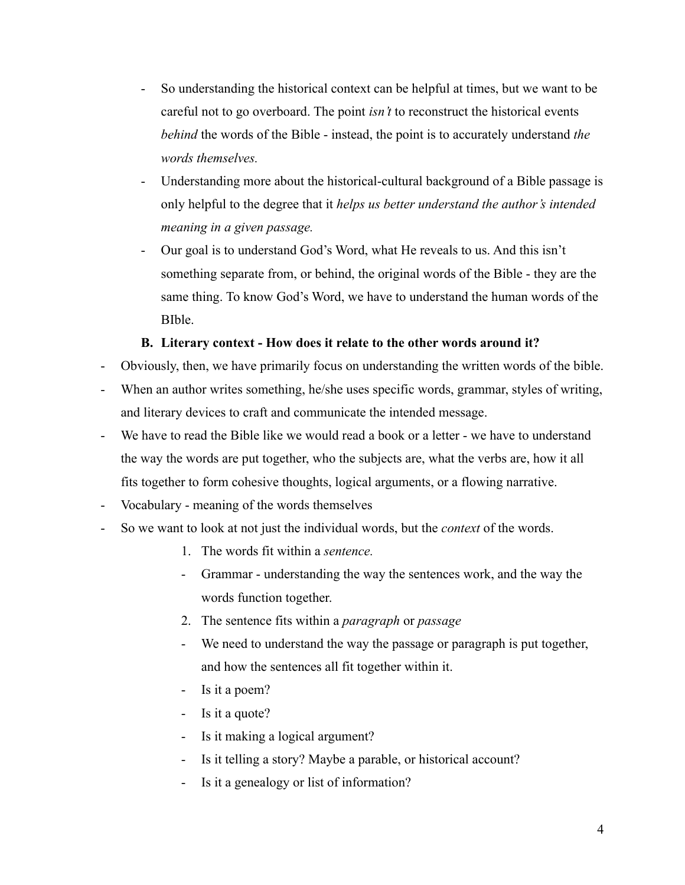- So understanding the historical context can be helpful at times, but we want to be careful not to go overboard. The point *isn't* to reconstruct the historical events *behind* the words of the Bible - instead, the point is to accurately understand *the words themselves.*
- Understanding more about the historical-cultural background of a Bible passage is only helpful to the degree that it *helps us better understand the author's intended meaning in a given passage.*
- Our goal is to understand God's Word, what He reveals to us. And this isn't something separate from, or behind, the original words of the Bible - they are the same thing. To know God's Word, we have to understand the human words of the BIble.

## **B. Literary context - How does it relate to the other words around it?**

- Obviously, then, we have primarily focus on understanding the written words of the bible.
- When an author writes something, he/she uses specific words, grammar, styles of writing, and literary devices to craft and communicate the intended message.
- We have to read the Bible like we would read a book or a letter we have to understand the way the words are put together, who the subjects are, what the verbs are, how it all fits together to form cohesive thoughts, logical arguments, or a flowing narrative.
- Vocabulary meaning of the words themselves
- So we want to look at not just the individual words, but the *context* of the words.
	- 1. The words fit within a *sentence.*
	- Grammar understanding the way the sentences work, and the way the words function together.
	- 2. The sentence fits within a *paragraph* or *passage*
	- We need to understand the way the passage or paragraph is put together, and how the sentences all fit together within it.
	- Is it a poem?
	- Is it a quote?
	- Is it making a logical argument?
	- Is it telling a story? Maybe a parable, or historical account?
	- Is it a genealogy or list of information?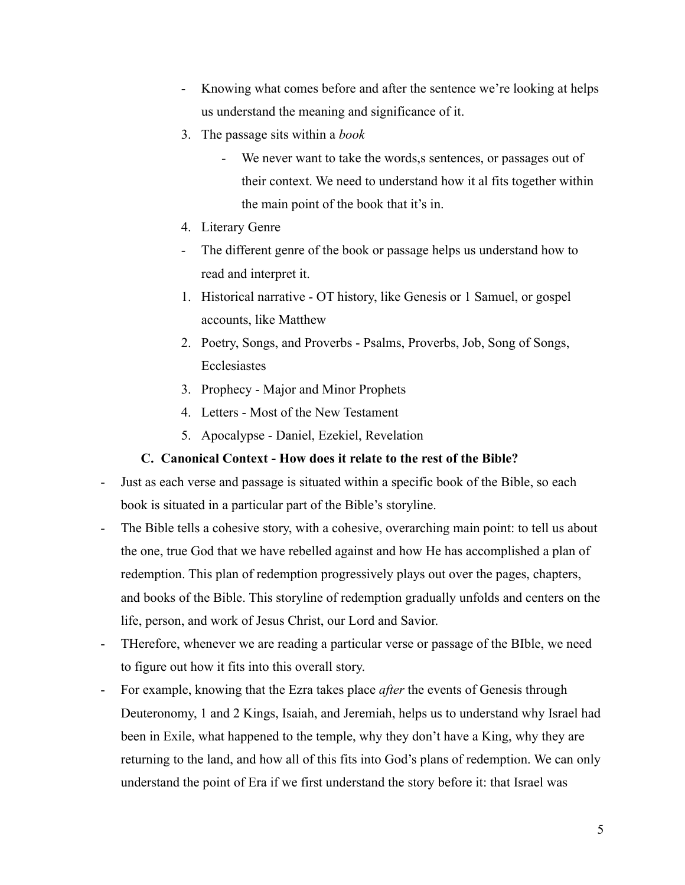- Knowing what comes before and after the sentence we're looking at helps us understand the meaning and significance of it.
- 3. The passage sits within a *book*
	- We never want to take the words, s sentences, or passages out of their context. We need to understand how it al fits together within the main point of the book that it's in.
- 4. Literary Genre
- The different genre of the book or passage helps us understand how to read and interpret it.
- 1. Historical narrative OT history, like Genesis or 1 Samuel, or gospel accounts, like Matthew
- 2. Poetry, Songs, and Proverbs Psalms, Proverbs, Job, Song of Songs, Ecclesiastes
- 3. Prophecy Major and Minor Prophets
- 4. Letters Most of the New Testament
- 5. Apocalypse Daniel, Ezekiel, Revelation

## **C. Canonical Context - How does it relate to the rest of the Bible?**

- Just as each verse and passage is situated within a specific book of the Bible, so each book is situated in a particular part of the Bible's storyline.
- The Bible tells a cohesive story, with a cohesive, overarching main point: to tell us about the one, true God that we have rebelled against and how He has accomplished a plan of redemption. This plan of redemption progressively plays out over the pages, chapters, and books of the Bible. This storyline of redemption gradually unfolds and centers on the life, person, and work of Jesus Christ, our Lord and Savior.
- THerefore, whenever we are reading a particular verse or passage of the BIble, we need to figure out how it fits into this overall story.
- For example, knowing that the Ezra takes place *after* the events of Genesis through Deuteronomy, 1 and 2 Kings, Isaiah, and Jeremiah, helps us to understand why Israel had been in Exile, what happened to the temple, why they don't have a King, why they are returning to the land, and how all of this fits into God's plans of redemption. We can only understand the point of Era if we first understand the story before it: that Israel was